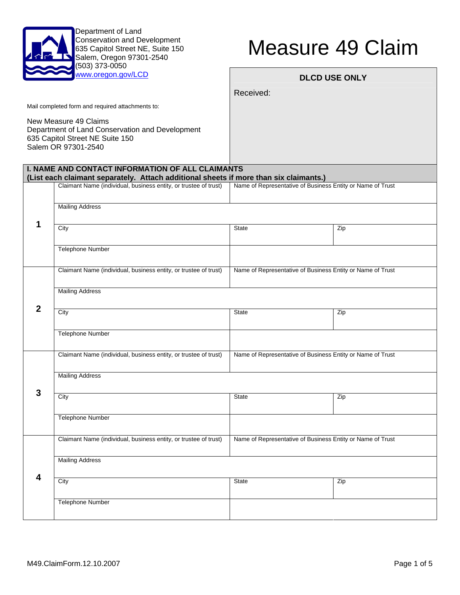

Department of Land Conservation and Development 635 Capitol Street NE, Suite 150 Salem, Oregon 97301-2540 (503) 373-0050

## Measure 49 Claim

| www.oregon.gov/LCD                                                                                                                 |                                                                                                                                                  | <b>DLCD USE ONLY</b>                                       |     |  |  |  |
|------------------------------------------------------------------------------------------------------------------------------------|--------------------------------------------------------------------------------------------------------------------------------------------------|------------------------------------------------------------|-----|--|--|--|
|                                                                                                                                    |                                                                                                                                                  | Received:                                                  |     |  |  |  |
|                                                                                                                                    | Mail completed form and required attachments to:                                                                                                 |                                                            |     |  |  |  |
| New Measure 49 Claims<br>Department of Land Conservation and Development<br>635 Capitol Street NE Suite 150<br>Salem OR 97301-2540 |                                                                                                                                                  |                                                            |     |  |  |  |
|                                                                                                                                    | <b>I. NAME AND CONTACT INFORMATION OF ALL CLAIMANTS</b><br>(List each claimant separately. Attach additional sheets if more than six claimants.) |                                                            |     |  |  |  |
|                                                                                                                                    | Claimant Name (individual, business entity, or trustee of trust)                                                                                 | Name of Representative of Business Entity or Name of Trust |     |  |  |  |
|                                                                                                                                    |                                                                                                                                                  |                                                            |     |  |  |  |
|                                                                                                                                    | <b>Mailing Address</b>                                                                                                                           |                                                            |     |  |  |  |
| 1                                                                                                                                  | City                                                                                                                                             | <b>State</b>                                               | Zip |  |  |  |
|                                                                                                                                    |                                                                                                                                                  |                                                            |     |  |  |  |
|                                                                                                                                    | <b>Telephone Number</b>                                                                                                                          |                                                            |     |  |  |  |
|                                                                                                                                    | Claimant Name (individual, business entity, or trustee of trust)                                                                                 | Name of Representative of Business Entity or Name of Trust |     |  |  |  |
|                                                                                                                                    |                                                                                                                                                  |                                                            |     |  |  |  |
|                                                                                                                                    | <b>Mailing Address</b>                                                                                                                           |                                                            |     |  |  |  |
| $\mathbf{2}$                                                                                                                       | City                                                                                                                                             | <b>State</b>                                               | Zip |  |  |  |
|                                                                                                                                    |                                                                                                                                                  |                                                            |     |  |  |  |
|                                                                                                                                    | <b>Telephone Number</b>                                                                                                                          |                                                            |     |  |  |  |
|                                                                                                                                    | Claimant Name (individual, business entity, or trustee of trust)                                                                                 | Name of Representative of Business Entity or Name of Trust |     |  |  |  |
|                                                                                                                                    |                                                                                                                                                  |                                                            |     |  |  |  |
|                                                                                                                                    | <b>Mailing Address</b>                                                                                                                           |                                                            |     |  |  |  |
| 3                                                                                                                                  | City                                                                                                                                             | <b>State</b>                                               | Zip |  |  |  |
|                                                                                                                                    |                                                                                                                                                  |                                                            |     |  |  |  |
|                                                                                                                                    | <b>Telephone Number</b>                                                                                                                          |                                                            |     |  |  |  |
|                                                                                                                                    | Claimant Name (individual, business entity, or trustee of trust)                                                                                 | Name of Representative of Business Entity or Name of Trust |     |  |  |  |
|                                                                                                                                    |                                                                                                                                                  |                                                            |     |  |  |  |
|                                                                                                                                    | <b>Mailing Address</b>                                                                                                                           |                                                            |     |  |  |  |
| $\overline{\mathbf{4}}$                                                                                                            | City                                                                                                                                             | State                                                      | Zip |  |  |  |
|                                                                                                                                    |                                                                                                                                                  |                                                            |     |  |  |  |
|                                                                                                                                    | <b>Telephone Number</b>                                                                                                                          |                                                            |     |  |  |  |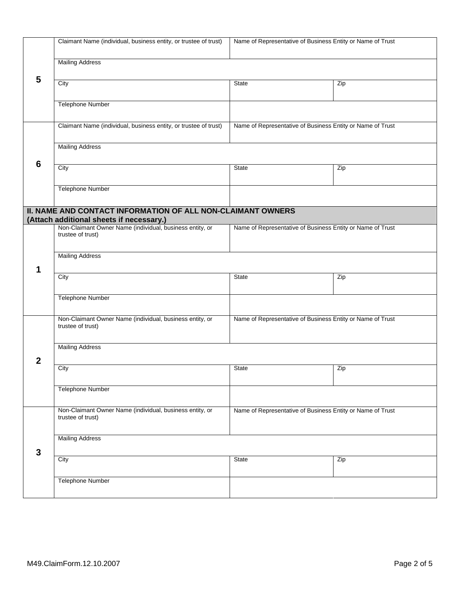|                                                                                                         | Claimant Name (individual, business entity, or trustee of trust)                                                                            | Name of Representative of Business Entity or Name of Trust |     |  |  |  |
|---------------------------------------------------------------------------------------------------------|---------------------------------------------------------------------------------------------------------------------------------------------|------------------------------------------------------------|-----|--|--|--|
|                                                                                                         | <b>Mailing Address</b>                                                                                                                      |                                                            |     |  |  |  |
| 5                                                                                                       | City                                                                                                                                        | <b>State</b>                                               | Zip |  |  |  |
|                                                                                                         | <b>Telephone Number</b>                                                                                                                     |                                                            |     |  |  |  |
|                                                                                                         | Claimant Name (individual, business entity, or trustee of trust)                                                                            | Name of Representative of Business Entity or Name of Trust |     |  |  |  |
|                                                                                                         | <b>Mailing Address</b>                                                                                                                      |                                                            |     |  |  |  |
| 6                                                                                                       | City                                                                                                                                        | <b>State</b>                                               | Zip |  |  |  |
|                                                                                                         | <b>Telephone Number</b>                                                                                                                     |                                                            |     |  |  |  |
| II. NAME AND CONTACT INFORMATION OF ALL NON-CLAIMANT OWNERS<br>(Attach additional sheets if necessary.) |                                                                                                                                             |                                                            |     |  |  |  |
|                                                                                                         | Non-Claimant Owner Name (individual, business entity, or<br>Name of Representative of Business Entity or Name of Trust<br>trustee of trust) |                                                            |     |  |  |  |
| 1                                                                                                       | <b>Mailing Address</b>                                                                                                                      |                                                            |     |  |  |  |
|                                                                                                         | City                                                                                                                                        | State                                                      | Zip |  |  |  |
|                                                                                                         | <b>Telephone Number</b>                                                                                                                     |                                                            |     |  |  |  |
|                                                                                                         | Non-Claimant Owner Name (individual, business entity, or<br>trustee of trust)                                                               | Name of Representative of Business Entity or Name of Trust |     |  |  |  |
| 2                                                                                                       | <b>Mailing Address</b>                                                                                                                      |                                                            |     |  |  |  |
|                                                                                                         | City                                                                                                                                        | State                                                      | Zip |  |  |  |
|                                                                                                         | <b>Telephone Number</b>                                                                                                                     |                                                            |     |  |  |  |
|                                                                                                         | Non-Claimant Owner Name (individual, business entity, or<br>trustee of trust)                                                               | Name of Representative of Business Entity or Name of Trust |     |  |  |  |
| $\mathbf{3}$                                                                                            | <b>Mailing Address</b>                                                                                                                      |                                                            |     |  |  |  |
|                                                                                                         | City                                                                                                                                        | State                                                      | Zip |  |  |  |
|                                                                                                         | Telephone Number                                                                                                                            |                                                            |     |  |  |  |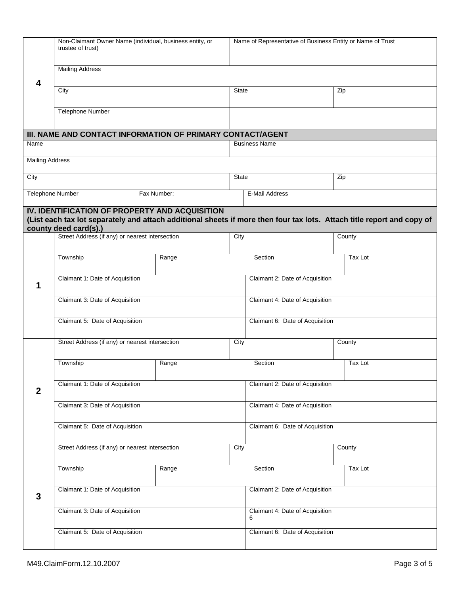|                        | Non-Claimant Owner Name (individual, business entity, or<br>trustee of trust)                                                                                            |                                                            |                                 | Name of Representative of Business Entity or Name of Trust |  |         |
|------------------------|--------------------------------------------------------------------------------------------------------------------------------------------------------------------------|------------------------------------------------------------|---------------------------------|------------------------------------------------------------|--|---------|
| 4                      | <b>Mailing Address</b>                                                                                                                                                   |                                                            |                                 |                                                            |  |         |
|                        | City                                                                                                                                                                     |                                                            |                                 | <b>State</b>                                               |  | Zip     |
|                        | Telephone Number                                                                                                                                                         |                                                            |                                 |                                                            |  |         |
|                        |                                                                                                                                                                          | III. NAME AND CONTACT INFORMATION OF PRIMARY CONTACT/AGENT |                                 |                                                            |  |         |
| Name                   |                                                                                                                                                                          |                                                            |                                 | <b>Business Name</b>                                       |  |         |
| <b>Mailing Address</b> |                                                                                                                                                                          |                                                            |                                 |                                                            |  |         |
| City                   |                                                                                                                                                                          |                                                            |                                 | State                                                      |  | Zip     |
|                        | <b>Telephone Number</b>                                                                                                                                                  | Fax Number:                                                |                                 | E-Mail Address                                             |  |         |
|                        | IV. IDENTIFICATION OF PROPERTY AND ACQUISITION<br>(List each tax lot separately and attach additional sheets if more then four tax lots. Attach title report and copy of |                                                            |                                 |                                                            |  |         |
|                        | county deed card(s).)<br>Street Address (if any) or nearest intersection                                                                                                 |                                                            | City                            |                                                            |  | County  |
|                        |                                                                                                                                                                          |                                                            |                                 |                                                            |  |         |
|                        | Township                                                                                                                                                                 | Range                                                      |                                 | Section                                                    |  | Tax Lot |
| 1                      | Claimant 1: Date of Acquisition                                                                                                                                          |                                                            |                                 | Claimant 2: Date of Acquisition                            |  |         |
|                        | Claimant 3: Date of Acquisition                                                                                                                                          |                                                            |                                 | Claimant 4: Date of Acquisition                            |  |         |
|                        | Claimant 5: Date of Acquisition                                                                                                                                          |                                                            |                                 | Claimant 6: Date of Acquisition                            |  |         |
|                        | Street Address (if any) or nearest intersection                                                                                                                          |                                                            |                                 | City                                                       |  | County  |
|                        | Township                                                                                                                                                                 | Range                                                      |                                 | Section                                                    |  | Tax Lot |
| $\mathbf{2}$           | Claimant 1: Date of Acquisition                                                                                                                                          |                                                            |                                 | Claimant 2: Date of Acquisition                            |  |         |
|                        | Claimant 3: Date of Acquisition                                                                                                                                          |                                                            |                                 | Claimant 4: Date of Acquisition                            |  |         |
|                        | Claimant 5: Date of Acquisition                                                                                                                                          |                                                            |                                 | Claimant 6: Date of Acquisition                            |  |         |
|                        | Street Address (if any) or nearest intersection                                                                                                                          |                                                            | City                            | County                                                     |  |         |
|                        |                                                                                                                                                                          |                                                            |                                 |                                                            |  |         |
|                        | Township                                                                                                                                                                 | Range                                                      |                                 | Section                                                    |  | Tax Lot |
| $\mathbf{3}$           | Claimant 1: Date of Acquisition                                                                                                                                          |                                                            | Claimant 2: Date of Acquisition |                                                            |  |         |
|                        | Claimant 3: Date of Acquisition                                                                                                                                          |                                                            |                                 | Claimant 4: Date of Acquisition<br>6                       |  |         |
|                        | Claimant 5: Date of Acquisition                                                                                                                                          |                                                            |                                 | Claimant 6: Date of Acquisition                            |  |         |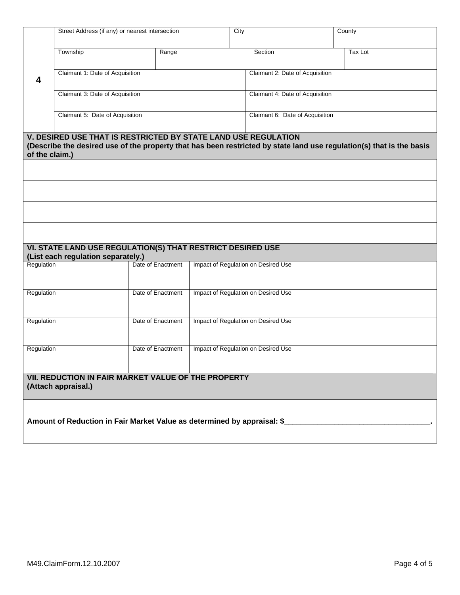|                                                                            | Street Address (if any) or nearest intersection                                                  |                   |  | City                                | County                                                                                                               |
|----------------------------------------------------------------------------|--------------------------------------------------------------------------------------------------|-------------------|--|-------------------------------------|----------------------------------------------------------------------------------------------------------------------|
|                                                                            | Township                                                                                         | Range             |  | Section                             | Tax Lot                                                                                                              |
| 4                                                                          | Claimant 1: Date of Acquisition                                                                  |                   |  | Claimant 2: Date of Acquisition     |                                                                                                                      |
|                                                                            | Claimant 3: Date of Acquisition                                                                  |                   |  | Claimant 4: Date of Acquisition     |                                                                                                                      |
|                                                                            | Claimant 5: Date of Acquisition                                                                  |                   |  | Claimant 6: Date of Acquisition     |                                                                                                                      |
| of the claim.)                                                             | <b>V. DESIRED USE THAT IS RESTRICTED BY STATE LAND USE REGULATION</b>                            |                   |  |                                     | (Describe the desired use of the property that has been restricted by state land use regulation(s) that is the basis |
|                                                                            |                                                                                                  |                   |  |                                     |                                                                                                                      |
|                                                                            |                                                                                                  |                   |  |                                     |                                                                                                                      |
|                                                                            |                                                                                                  |                   |  |                                     |                                                                                                                      |
|                                                                            |                                                                                                  |                   |  |                                     |                                                                                                                      |
|                                                                            | VI. STATE LAND USE REGULATION(S) THAT RESTRICT DESIRED USE<br>(List each regulation separately.) |                   |  |                                     |                                                                                                                      |
| Regulation                                                                 |                                                                                                  | Date of Enactment |  | Impact of Regulation on Desired Use |                                                                                                                      |
| Regulation                                                                 |                                                                                                  | Date of Enactment |  | Impact of Regulation on Desired Use |                                                                                                                      |
| Regulation                                                                 |                                                                                                  | Date of Enactment |  | Impact of Regulation on Desired Use |                                                                                                                      |
| Regulation                                                                 |                                                                                                  | Date of Enactment |  | Impact of Regulation on Desired Use |                                                                                                                      |
|                                                                            |                                                                                                  |                   |  |                                     |                                                                                                                      |
| VII. REDUCTION IN FAIR MARKET VALUE OF THE PROPERTY<br>(Attach appraisal.) |                                                                                                  |                   |  |                                     |                                                                                                                      |
| Amount of Reduction in Fair Market Value as determined by appraisal: \$    |                                                                                                  |                   |  |                                     |                                                                                                                      |